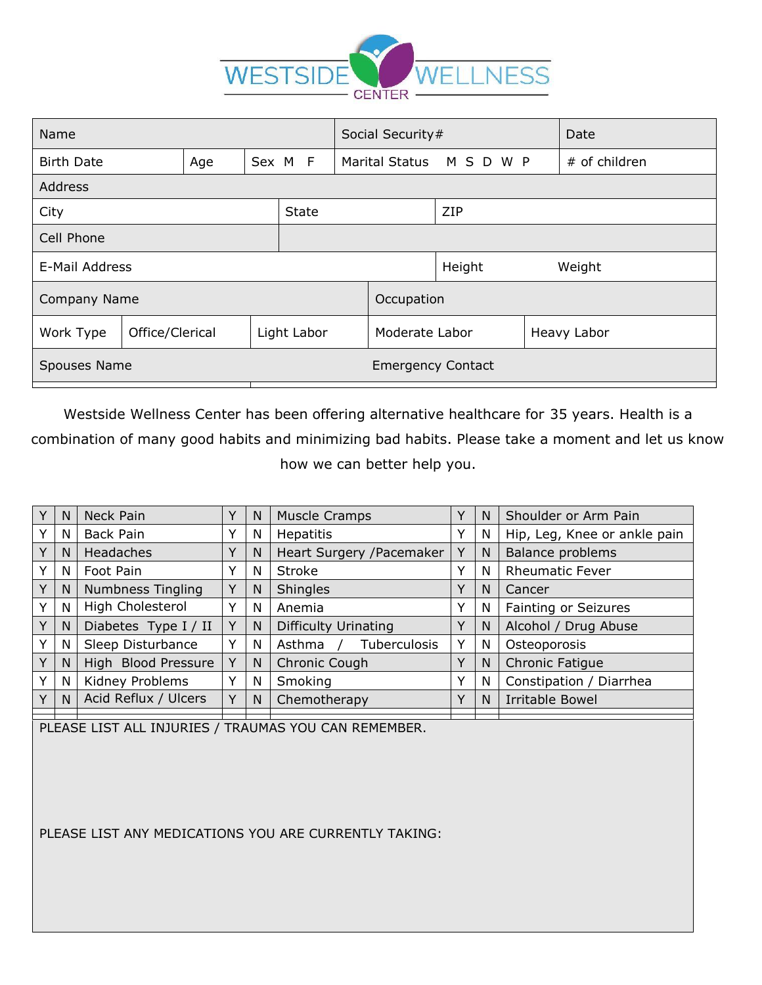

| Name              |                 |     |  |                          | Social Security# |                      |                  |  | Date          |
|-------------------|-----------------|-----|--|--------------------------|------------------|----------------------|------------------|--|---------------|
| <b>Birth Date</b> |                 | Age |  | Sex M F                  |                  | Marital Status M S D | W P              |  | # of children |
| <b>Address</b>    |                 |     |  |                          |                  |                      |                  |  |               |
| City              |                 |     |  | <b>State</b>             |                  |                      | ZIP              |  |               |
| Cell Phone        |                 |     |  |                          |                  |                      |                  |  |               |
| E-Mail Address    |                 |     |  |                          |                  |                      | Height<br>Weight |  |               |
| Company Name      |                 |     |  |                          |                  | Occupation           |                  |  |               |
| Work Type         | Office/Clerical |     |  | Light Labor              |                  | Moderate Labor       |                  |  | Heavy Labor   |
| Spouses Name      |                 |     |  | <b>Emergency Contact</b> |                  |                      |                  |  |               |

Westside Wellness Center has been offering alternative healthcare for 35 years. Health is a combination of many good habits and minimizing bad habits. Please take a moment and let us know how we can better help you.

| Υ            | N  | Neck Pain                |              | N | <b>Muscle Cramps</b>        |   | N | Shoulder or Arm Pain         |  |
|--------------|----|--------------------------|--------------|---|-----------------------------|---|---|------------------------------|--|
| Y            | N  | Back Pain                | Υ            | N | <b>Hepatitis</b>            |   | N | Hip, Leg, Knee or ankle pain |  |
| Υ            | N  | Headaches                | Y            | N | Heart Surgery / Pacemaker   |   | N | Balance problems             |  |
| v            | N  | Foot Pain                | Y            | N | <b>Stroke</b>               | Υ | N | <b>Rheumatic Fever</b>       |  |
| Y            | N. | <b>Numbness Tingling</b> | Y            | N | <b>Shingles</b>             | Y | N | Cancer                       |  |
| v            | N  | High Cholesterol         | Υ            | N | Anemia                      | Υ | N | Fainting or Seizures         |  |
| Y            | N  | Diabetes Type I / II     | Υ            | N | <b>Difficulty Urinating</b> | Y | N | Alcohol / Drug Abuse         |  |
|              | N. | Sleep Disturbance        | ٧            | N | Asthma<br>Tuberculosis      | Υ | N | Osteoporosis                 |  |
| Υ            | N  | High Blood Pressure      | V            | N | Chronic Cough               | Υ | N | <b>Chronic Fatique</b>       |  |
| v            | N  | Kidney Problems          | $\check{ }$  | N | Smoking                     | v | N | Constipation / Diarrhea      |  |
| $\checkmark$ | N. | Acid Reflux / Ulcers     | $\checkmark$ | N | Chemotherapy                | Υ | N | Irritable Bowel              |  |
|              |    |                          |              |   |                             |   |   |                              |  |

PLEASE LIST ALL INJURIES / TRAUMAS YOU CAN REMEMBER.

PLEASE LIST ANY MEDICATIONS YOU ARE CURRENTLY TAKING: